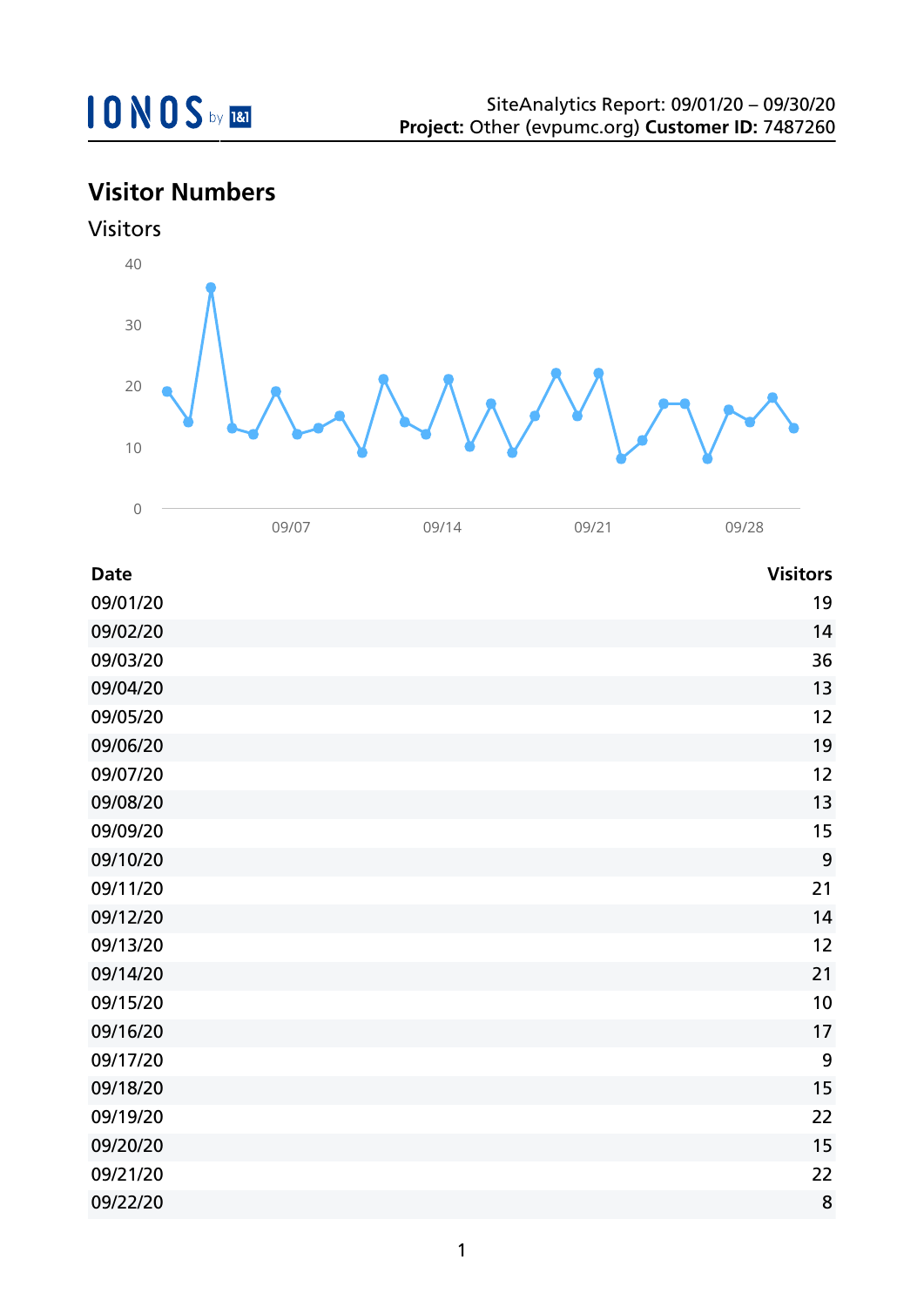

## **Visitor Numbers**



| <b>Date</b> | <b>Visitors</b> |
|-------------|-----------------|
| 09/01/20    | 19              |
| 09/02/20    | 14              |
| 09/03/20    | 36              |
| 09/04/20    | 13              |
| 09/05/20    | 12              |
| 09/06/20    | 19              |
| 09/07/20    | 12              |
| 09/08/20    | 13              |
| 09/09/20    | 15              |
| 09/10/20    | 9               |
| 09/11/20    | 21              |
| 09/12/20    | 14              |
| 09/13/20    | 12              |
| 09/14/20    | 21              |
| 09/15/20    | 10              |
| 09/16/20    | 17              |
| 09/17/20    | 9               |
| 09/18/20    | 15              |
| 09/19/20    | 22              |
| 09/20/20    | 15              |
| 09/21/20    | 22              |
| 09/22/20    | 8               |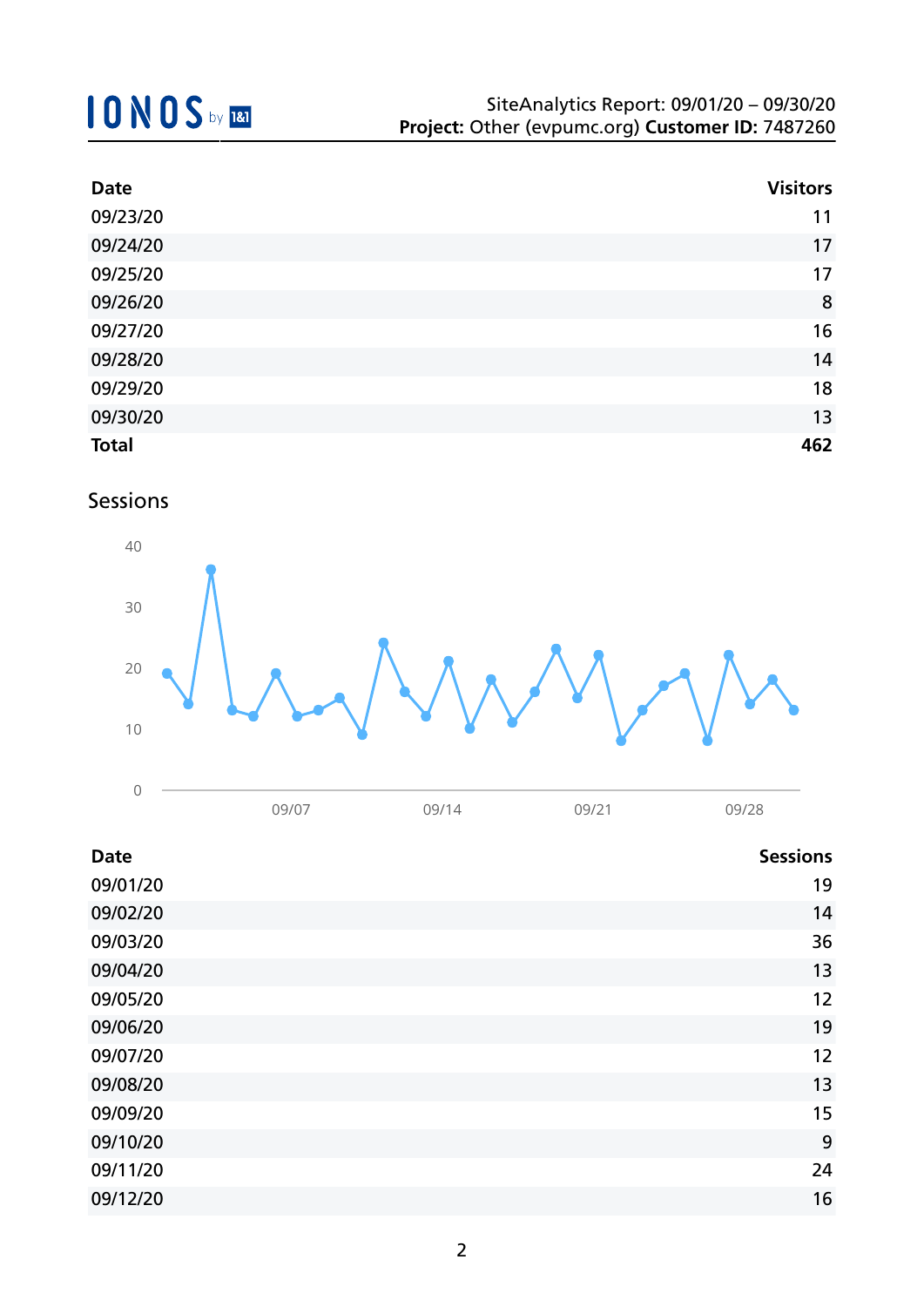## **10NOS** by REI

| <b>Date</b>  | <b>Visitors</b> |
|--------------|-----------------|
| 09/23/20     | 11              |
| 09/24/20     | 17              |
| 09/25/20     | 17              |
| 09/26/20     | 8               |
| 09/27/20     | 16              |
| 09/28/20     | 14              |
| 09/29/20     | 18              |
| 09/30/20     | 13              |
| <b>Total</b> | 462             |

### Sessions



| <b>Date</b> | <b>Sessions</b> |
|-------------|-----------------|
| 09/01/20    | 19              |
| 09/02/20    | 14              |
| 09/03/20    | 36              |
| 09/04/20    | 13              |
| 09/05/20    | 12              |
| 09/06/20    | 19              |
| 09/07/20    | 12              |
| 09/08/20    | 13              |
| 09/09/20    | 15              |
| 09/10/20    | 9               |
| 09/11/20    | 24              |
| 09/12/20    | 16              |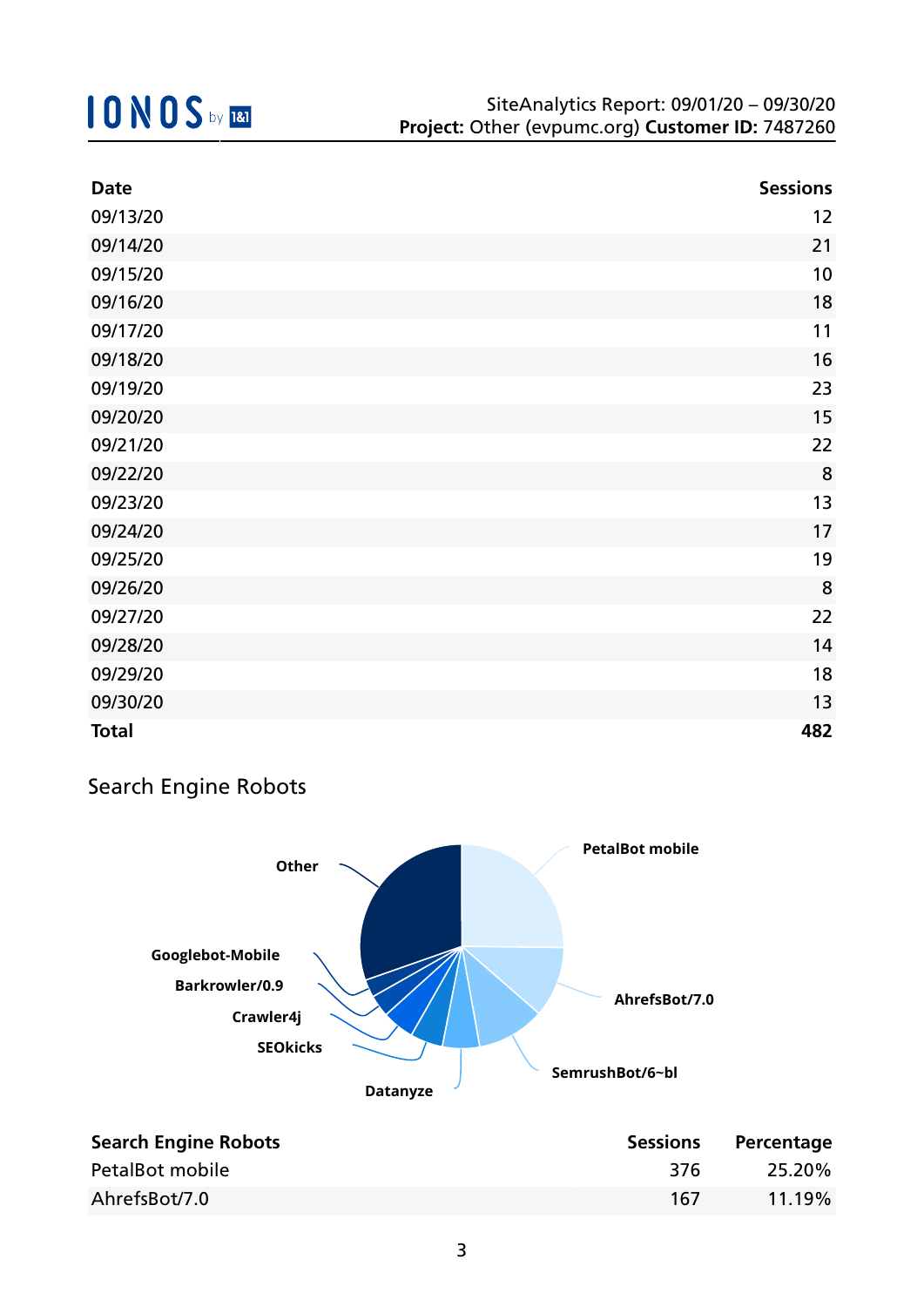| <b>Date</b>  | <b>Sessions</b> |
|--------------|-----------------|
| 09/13/20     | 12              |
| 09/14/20     | 21              |
| 09/15/20     | 10              |
| 09/16/20     | 18              |
| 09/17/20     | 11              |
| 09/18/20     | 16              |
| 09/19/20     | 23              |
| 09/20/20     | 15              |
| 09/21/20     | 22              |
| 09/22/20     | 8               |
| 09/23/20     | 13              |
| 09/24/20     | 17              |
| 09/25/20     | 19              |
| 09/26/20     | 8               |
| 09/27/20     | 22              |
| 09/28/20     | 14              |
| 09/29/20     | 18              |
| 09/30/20     | 13              |
| <b>Total</b> | 482             |

### Search Engine Robots



| <b>Search Engine Robots</b> | <b>Sessions</b> | Percentage |
|-----------------------------|-----------------|------------|
| PetalBot mobile             | -376            | 25.20%     |
| AhrefsBot/7.0               | 167             | $11.19\%$  |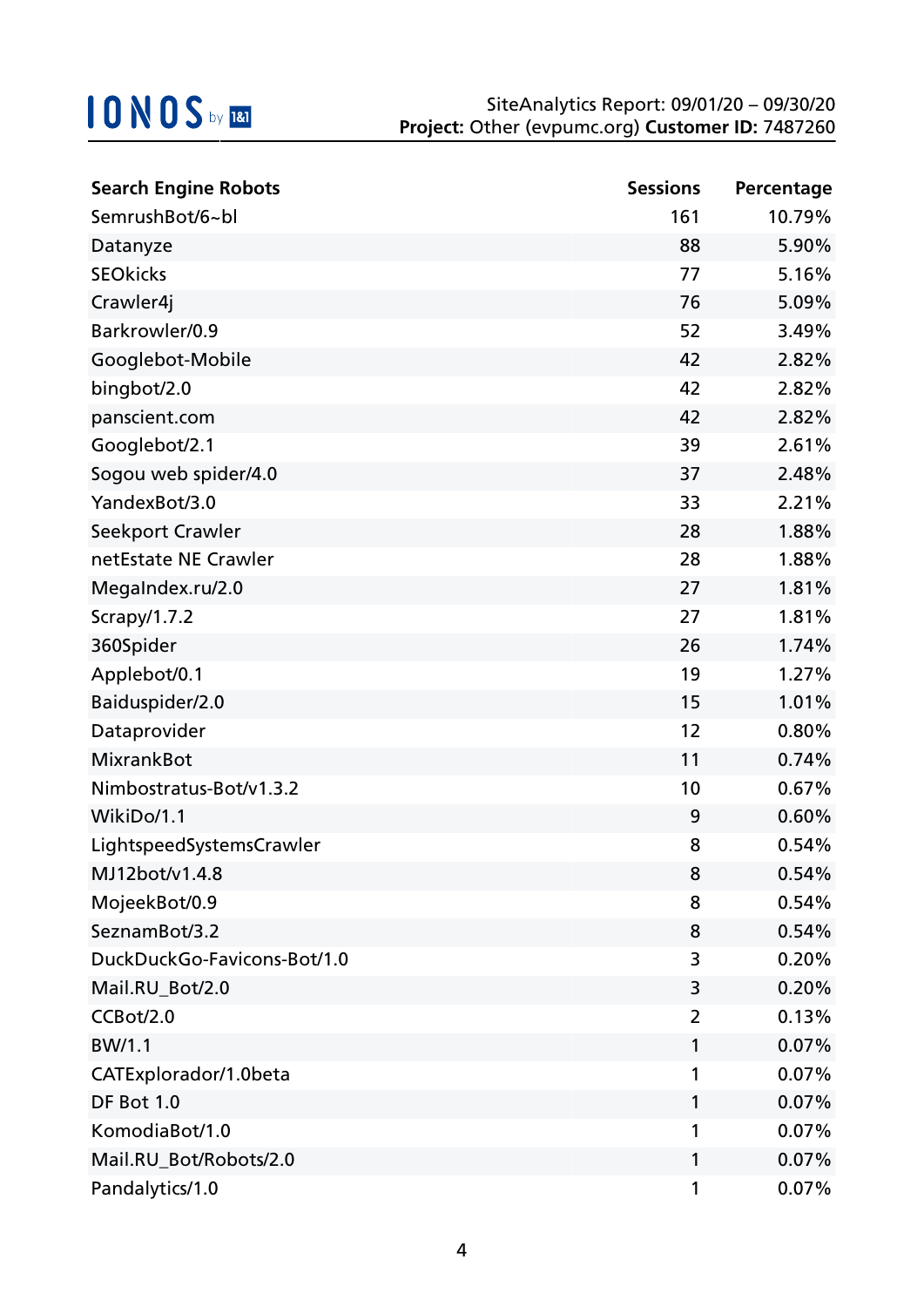| <b>Search Engine Robots</b> | <b>Sessions</b> | Percentage |
|-----------------------------|-----------------|------------|
| SemrushBot/6~bl             | 161             | 10.79%     |
| Datanyze                    | 88              | 5.90%      |
| <b>SEOkicks</b>             | 77              | 5.16%      |
| Crawler4j                   | 76              | 5.09%      |
| Barkrowler/0.9              | 52              | 3.49%      |
| Googlebot-Mobile            | 42              | 2.82%      |
| bingbot/2.0                 | 42              | 2.82%      |
| panscient.com               | 42              | 2.82%      |
| Googlebot/2.1               | 39              | 2.61%      |
| Sogou web spider/4.0        | 37              | 2.48%      |
| YandexBot/3.0               | 33              | 2.21%      |
| Seekport Crawler            | 28              | 1.88%      |
| netEstate NE Crawler        | 28              | 1.88%      |
| MegaIndex.ru/2.0            | 27              | 1.81%      |
| Scrapy/1.7.2                | 27              | 1.81%      |
| 360Spider                   | 26              | 1.74%      |
| Applebot/0.1                | 19              | 1.27%      |
| Baiduspider/2.0             | 15              | 1.01%      |
| Dataprovider                | 12              | 0.80%      |
| <b>MixrankBot</b>           | 11              | 0.74%      |
| Nimbostratus-Bot/v1.3.2     | 10              | 0.67%      |
| WikiDo/1.1                  | 9               | 0.60%      |
| LightspeedSystemsCrawler    | 8               | 0.54%      |
| MJ12bot/v1.4.8              | 8               | 0.54%      |
| MojeekBot/0.9               | 8               | 0.54%      |
| SeznamBot/3.2               | 8               | 0.54%      |
| DuckDuckGo-Favicons-Bot/1.0 | 3               | 0.20%      |
| Mail.RU_Bot/2.0             | 3               | 0.20%      |
| CCBot/2.0                   | 2               | 0.13%      |
| BW/1.1                      | 1               | 0.07%      |
| CATExplorador/1.0beta       | 1               | 0.07%      |
| DF Bot 1.0                  | 1               | 0.07%      |
| KomodiaBot/1.0              | 1               | 0.07%      |
| Mail.RU_Bot/Robots/2.0      | 1               | 0.07%      |
| Pandalytics/1.0             | 1               | 0.07%      |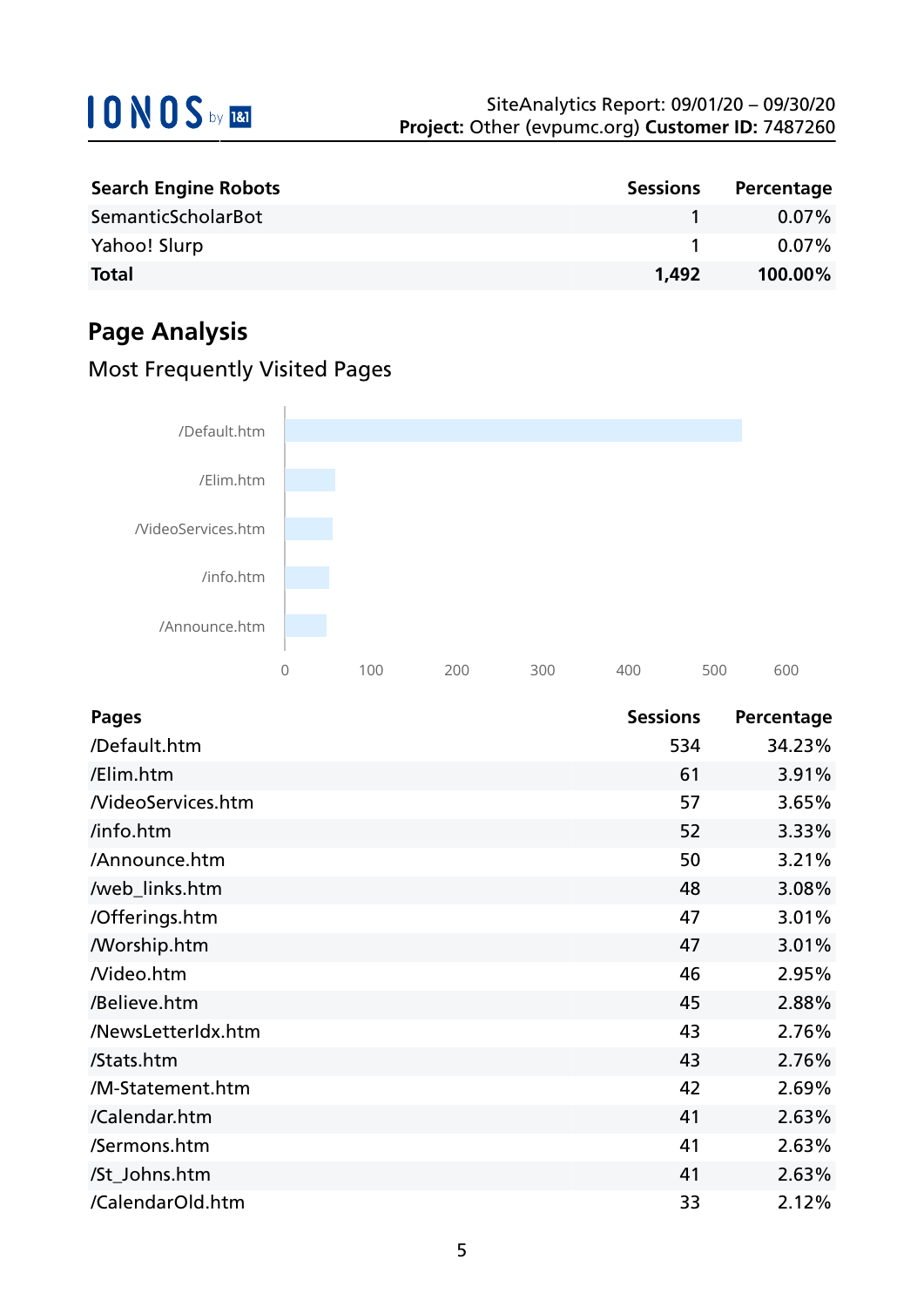| <b>Search Engine Robots</b> | <b>Sessions</b> | Percentage |
|-----------------------------|-----------------|------------|
| SemanticScholarBot          |                 | $0.07\%$   |
| Yahoo! Slurp                |                 | $0.07\%$   |
| <b>Total</b>                | 1.492           | 100.00%    |

## **Page Analysis**

### Most Frequently Visited Pages



| <b>Pages</b>       | <b>Sessions</b> | Percentage |
|--------------------|-----------------|------------|
| /Default.htm       | 534             | 34.23%     |
| /Elim.htm          | 61              | 3.91%      |
| /VideoServices.htm | 57              | 3.65%      |
| /info.htm          | 52              | 3.33%      |
| /Announce.htm      | 50              | 3.21%      |
| /web_links.htm     | 48              | 3.08%      |
| /Offerings.htm     | 47              | 3.01%      |
| <b>Morship.htm</b> | 47              | 3.01%      |
| Nideo.htm          | 46              | 2.95%      |
| /Believe.htm       | 45              | 2.88%      |
| /NewsLetterIdx.htm | 43              | 2.76%      |
| /Stats.htm         | 43              | 2.76%      |
| /M-Statement.htm   | 42              | 2.69%      |
| /Calendar.htm      | 41              | 2.63%      |
| /Sermons.htm       | 41              | 2.63%      |
| /St_Johns.htm      | 41              | 2.63%      |
| /CalendarOld.htm   | 33              | 2.12%      |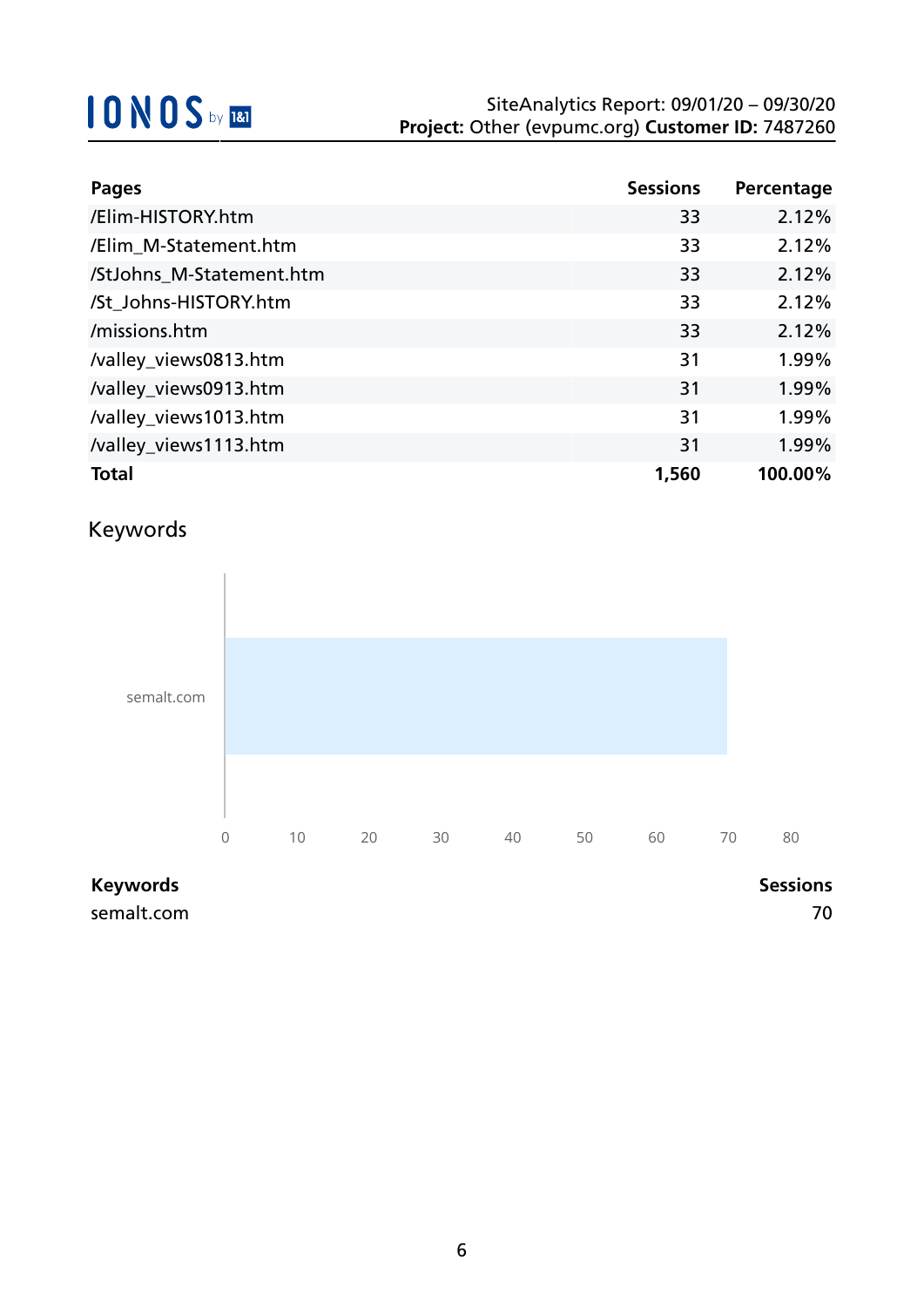| <b>Pages</b>             | <b>Sessions</b> | Percentage |
|--------------------------|-----------------|------------|
| /Elim-HISTORY.htm        | 33              | 2.12%      |
| /Elim_M-Statement.htm    | 33              | 2.12%      |
| /StJohns_M-Statement.htm | 33              | 2.12%      |
| /St_Johns-HISTORY.htm    | 33              | 2.12%      |
| /missions.htm            | 33              | 2.12%      |
| /valley_views0813.htm    | 31              | 1.99%      |
| /valley_views0913.htm    | 31              | 1.99%      |
| /valley_views1013.htm    | 31              | 1.99%      |
| /valley_views1113.htm    | 31              | 1.99%      |
| <b>Total</b>             | 1,560           | 100.00%    |

## Keywords



### **Keywords Sessions**

semalt.com 70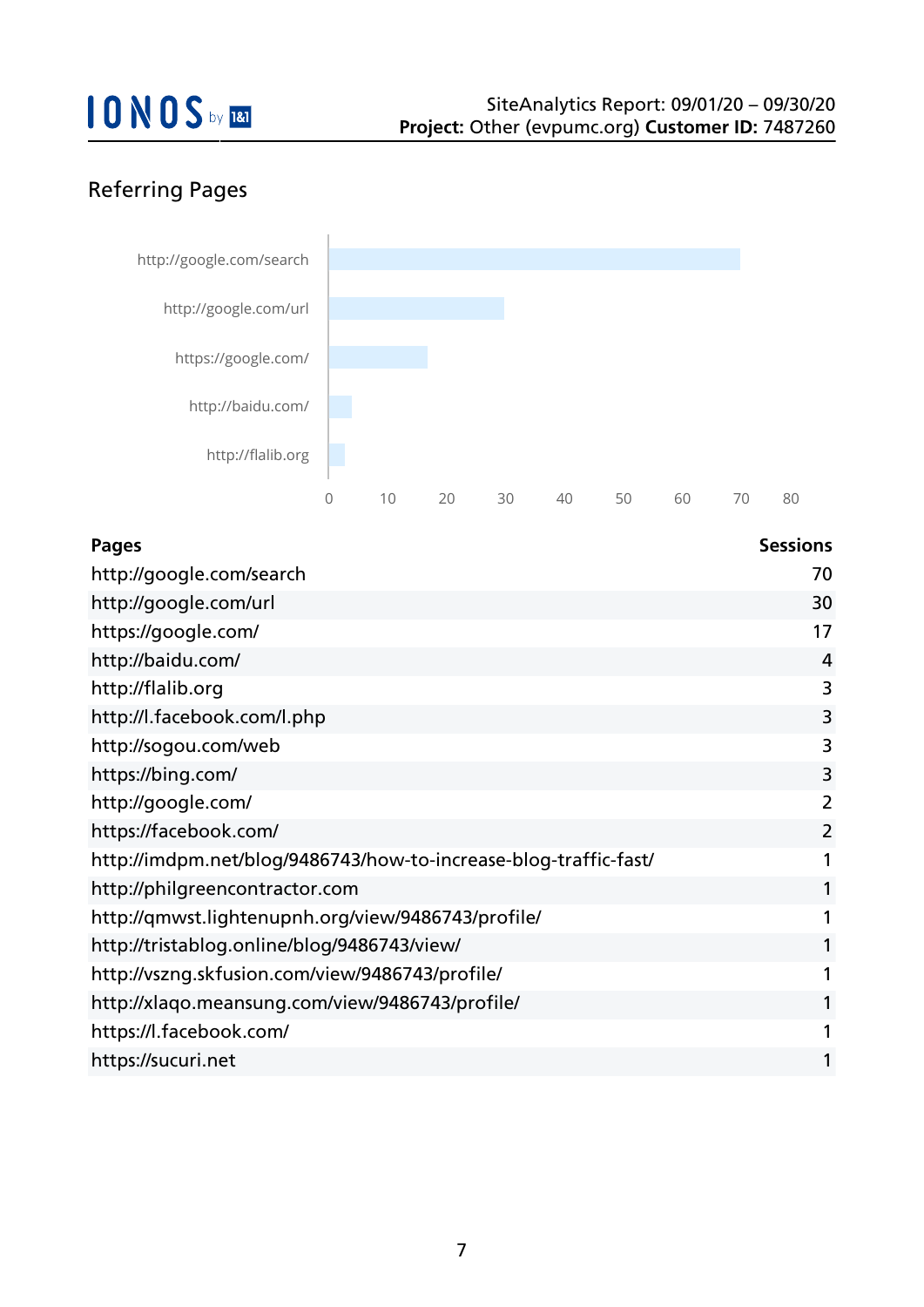## Referring Pages



| <b>Pages</b>                                                     | <b>Sessions</b> |
|------------------------------------------------------------------|-----------------|
| http://google.com/search                                         | 70              |
| http://google.com/url                                            | 30              |
| https://google.com/                                              | 17              |
| http://baidu.com/                                                | 4               |
| http://flalib.org                                                | 3               |
| http://l.facebook.com/l.php                                      | 3               |
| http://sogou.com/web                                             | 3               |
| https://bing.com/                                                | 3               |
| http://google.com/                                               | $\overline{2}$  |
| https://facebook.com/                                            | $\overline{2}$  |
| http://imdpm.net/blog/9486743/how-to-increase-blog-traffic-fast/ |                 |
| http://philgreencontractor.com                                   |                 |
| http://qmwst.lightenupnh.org/view/9486743/profile/               |                 |
| http://tristablog.online/blog/9486743/view/                      |                 |
| http://vszng.skfusion.com/view/9486743/profile/                  |                 |
| http://xlaqo.meansung.com/view/9486743/profile/                  |                 |
| https://l.facebook.com/                                          |                 |
| https://sucuri.net                                               |                 |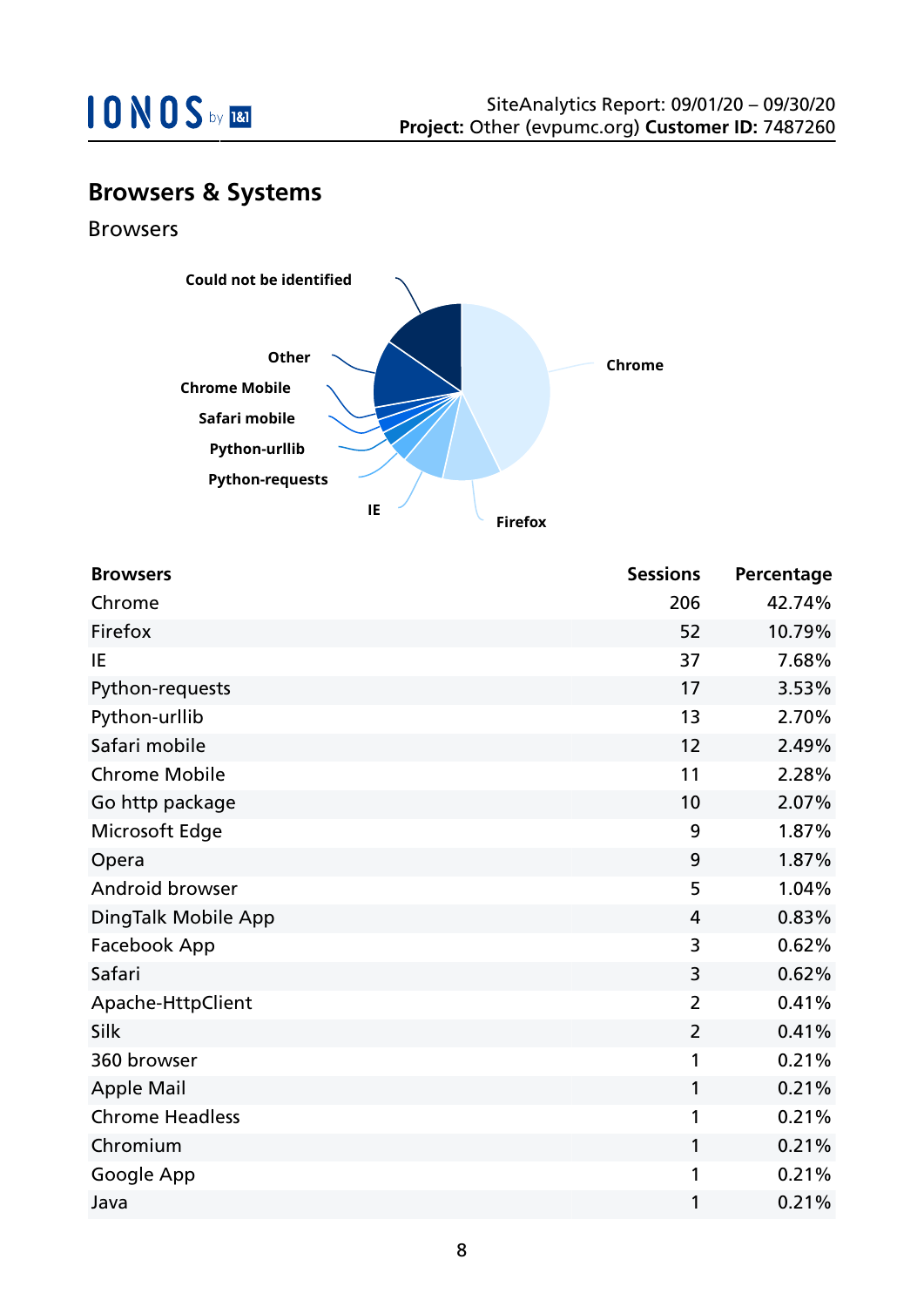

### **Browsers & Systems**

Browsers



| <b>Browsers</b>        | <b>Sessions</b> | Percentage |
|------------------------|-----------------|------------|
| Chrome                 | 206             | 42.74%     |
| Firefox                | 52              | 10.79%     |
| IE                     | 37              | 7.68%      |
| Python-requests        | 17              | 3.53%      |
| Python-urllib          | 13              | 2.70%      |
| Safari mobile          | 12              | 2.49%      |
| <b>Chrome Mobile</b>   | 11              | 2.28%      |
| Go http package        | 10              | 2.07%      |
| Microsoft Edge         | 9               | 1.87%      |
| Opera                  | 9               | 1.87%      |
| Android browser        | 5               | 1.04%      |
| DingTalk Mobile App    | $\overline{4}$  | 0.83%      |
| Facebook App           | 3               | 0.62%      |
| Safari                 | 3               | 0.62%      |
| Apache-HttpClient      | $\overline{2}$  | 0.41%      |
| Silk                   | $\overline{2}$  | 0.41%      |
| 360 browser            | 1               | 0.21%      |
| <b>Apple Mail</b>      | 1               | 0.21%      |
| <b>Chrome Headless</b> | 1               | 0.21%      |
| Chromium               | 1               | 0.21%      |
| Google App             | 1               | 0.21%      |
| Java                   | 1               | 0.21%      |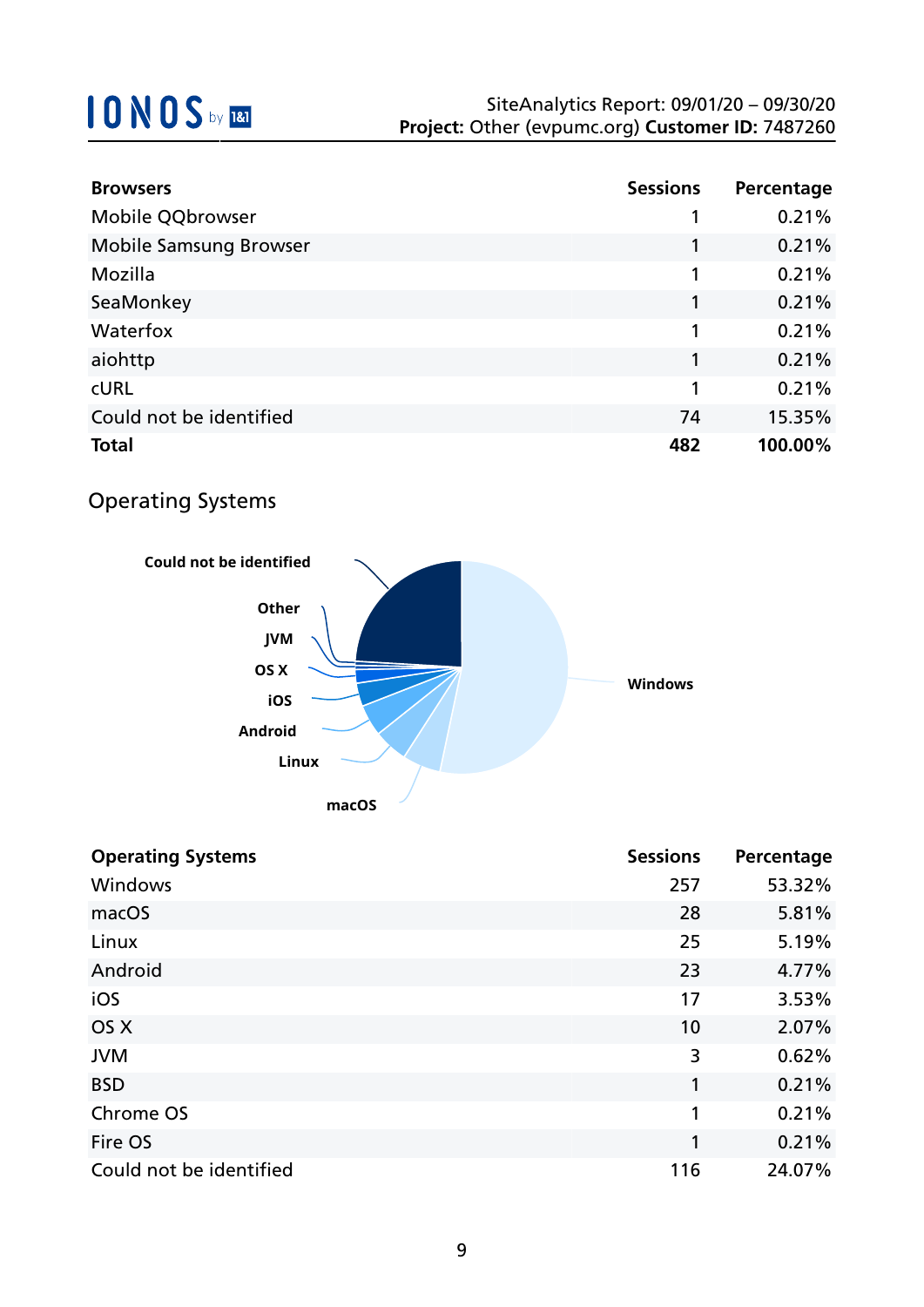| <b>Browsers</b>               | <b>Sessions</b> | Percentage |
|-------------------------------|-----------------|------------|
| Mobile QQbrowser              |                 | 0.21%      |
| <b>Mobile Samsung Browser</b> |                 | 0.21%      |
| Mozilla                       | 1               | 0.21%      |
| SeaMonkey                     |                 | 0.21%      |
| Waterfox                      | 1               | 0.21%      |
| aiohttp                       | 1               | 0.21%      |
| <b>CURL</b>                   | 1               | 0.21%      |
| Could not be identified       | 74              | 15.35%     |
| <b>Total</b>                  | 482             | 100.00%    |

### Operating Systems



| <b>Operating Systems</b> | <b>Sessions</b> | Percentage |
|--------------------------|-----------------|------------|
| Windows                  | 257             | 53.32%     |
| macOS                    | 28              | 5.81%      |
| Linux                    | 25              | 5.19%      |
| Android                  | 23              | 4.77%      |
| iOS                      | 17              | 3.53%      |
| OS X                     | 10              | 2.07%      |
| <b>JVM</b>               | 3               | 0.62%      |
| <b>BSD</b>               | 1               | 0.21%      |
| Chrome OS                | 1               | 0.21%      |
| Fire OS                  | 1               | 0.21%      |
| Could not be identified  | 116             | 24.07%     |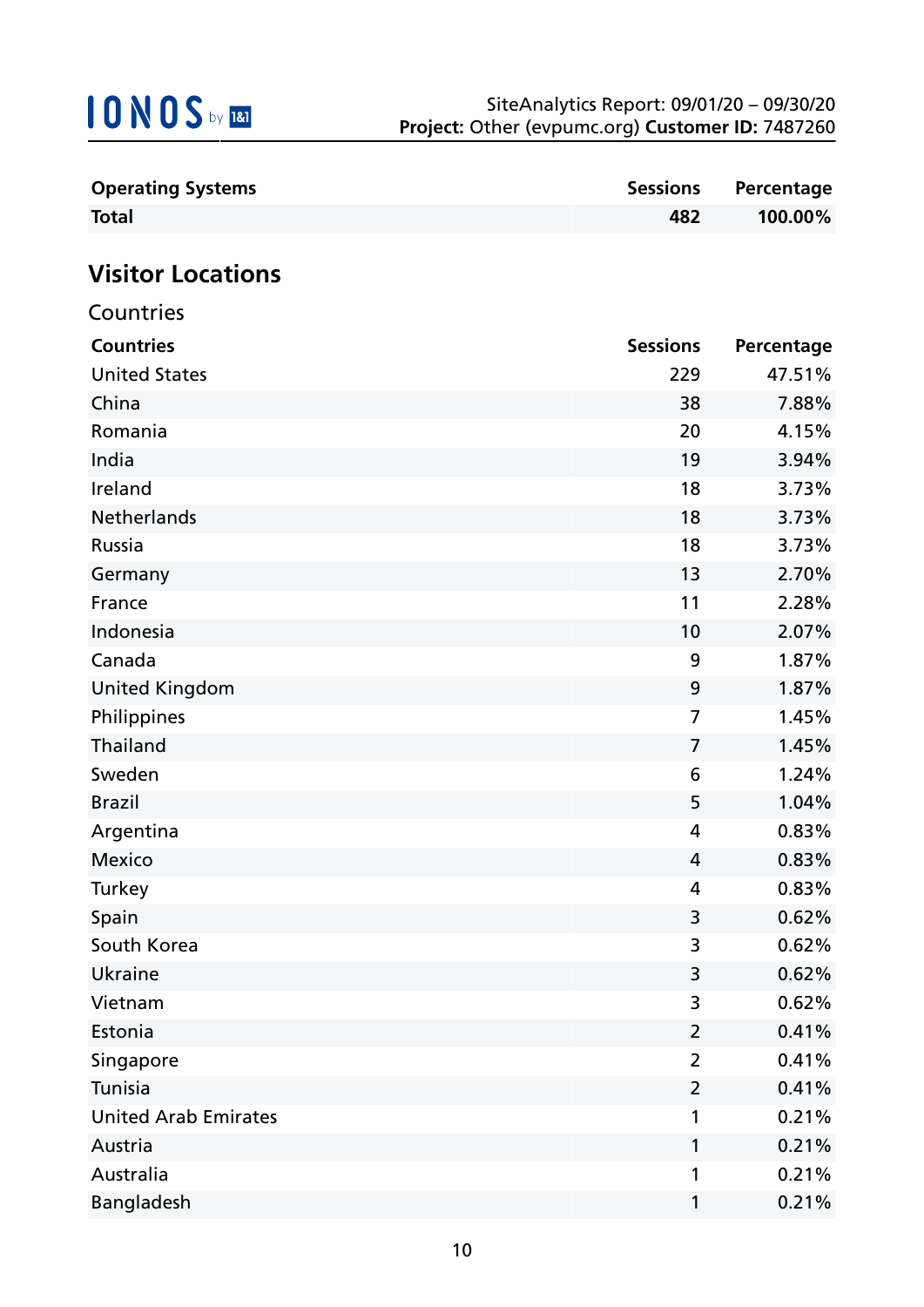

| <b>Operating Systems</b>    | <b>Sessions</b> | Percentage |
|-----------------------------|-----------------|------------|
| <b>Total</b>                | 482             | 100.00%    |
|                             |                 |            |
| <b>Visitor Locations</b>    |                 |            |
| Countries                   |                 |            |
| <b>Countries</b>            | <b>Sessions</b> | Percentage |
| <b>United States</b>        | 229             | 47.51%     |
| China                       | 38              | 7.88%      |
| Romania                     | 20              | 4.15%      |
| India                       | 19              | 3.94%      |
| Ireland                     | 18              | 3.73%      |
| <b>Netherlands</b>          | 18              | 3.73%      |
| Russia                      | 18              | 3.73%      |
| Germany                     | 13              | 2.70%      |
| France                      | 11              | 2.28%      |
| Indonesia                   | 10              | 2.07%      |
| Canada                      | 9               | 1.87%      |
| <b>United Kingdom</b>       | 9               | 1.87%      |
| Philippines                 | 7               | 1.45%      |
| Thailand                    | $\overline{7}$  | 1.45%      |
| Sweden                      | 6               | 1.24%      |
| <b>Brazil</b>               | 5               | 1.04%      |
| Argentina                   | 4               | 0.83%      |
| <b>Mexico</b>               | 4               | 0.83%      |
| Turkey                      | 4               | 0.83%      |
| Spain                       | 3               | 0.62%      |
| South Korea                 | 3               | 0.62%      |
| <b>Ukraine</b>              | 3               | 0.62%      |
| Vietnam                     | 3               | 0.62%      |
| Estonia                     | $\overline{2}$  | 0.41%      |
| Singapore                   | $\overline{2}$  | 0.41%      |
| Tunisia                     | $\overline{2}$  | 0.41%      |
| <b>United Arab Emirates</b> | 1               | 0.21%      |
| Austria                     | 1               | 0.21%      |
| Australia                   | 1               | 0.21%      |
| Bangladesh                  | 1               | 0.21%      |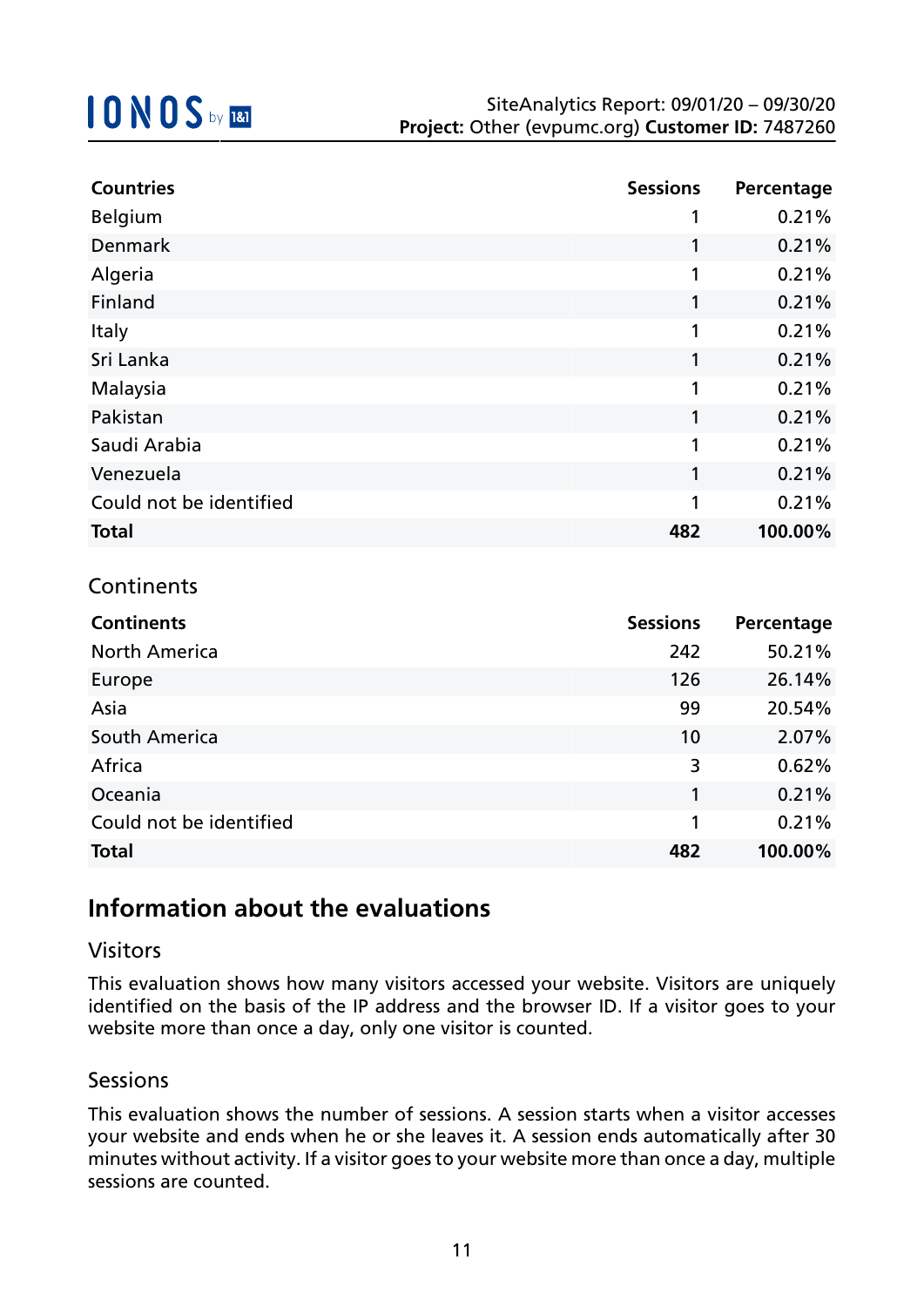| <b>Countries</b>        | <b>Sessions</b> | Percentage |
|-------------------------|-----------------|------------|
| <b>Belgium</b>          | 1               | 0.21%      |
| <b>Denmark</b>          | 1               | 0.21%      |
| Algeria                 | 1               | 0.21%      |
| Finland                 | 1               | 0.21%      |
| Italy                   | 1               | 0.21%      |
| Sri Lanka               | 1               | 0.21%      |
| Malaysia                | 1               | 0.21%      |
| Pakistan                | 1               | 0.21%      |
| Saudi Arabia            | 1               | 0.21%      |
| Venezuela               | 1               | 0.21%      |
| Could not be identified | 1               | 0.21%      |
| <b>Total</b>            | 482             | 100.00%    |

### **Continents**

| <b>Continents</b>       | <b>Sessions</b> | Percentage |
|-------------------------|-----------------|------------|
| <b>North America</b>    | 242             | 50.21%     |
| Europe                  | 126             | 26.14%     |
| Asia                    | 99              | 20.54%     |
| South America           | 10              | 2.07%      |
| Africa                  | 3               | 0.62%      |
| Oceania                 | 1               | 0.21%      |
| Could not be identified | 1               | 0.21%      |
| <b>Total</b>            | 482             | 100.00%    |

## **Information about the evaluations**

### Visitors

This evaluation shows how many visitors accessed your website. Visitors are uniquely identified on the basis of the IP address and the browser ID. If a visitor goes to your website more than once a day, only one visitor is counted.

### **Sessions**

This evaluation shows the number of sessions. A session starts when a visitor accesses your website and ends when he or she leaves it. A session ends automatically after 30 minutes without activity. If a visitor goes to your website more than once a day, multiple sessions are counted.